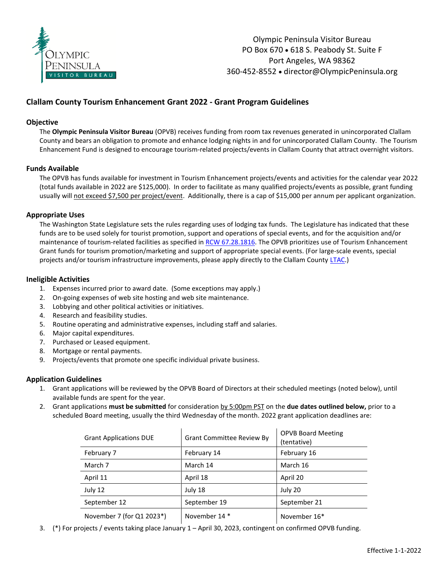

# **Clallam County Tourism Enhancement Grant 2022 - Grant Program Guidelines**

### **Objective**

The **Olympic Peninsula Visitor Bureau** (OPVB) receives funding from room tax revenues generated in unincorporated Clallam County and bears an obligation to promote and enhance lodging nights in and for unincorporated Clallam County. The Tourism Enhancement Fund is designed to encourage tourism-related projects/events in Clallam County that attract overnight visitors.

### **Funds Available**

The OPVB has funds available for investment in Tourism Enhancement projects/events and activities for the calendar year 2022 (total funds available in 2022 are \$125,000). In order to facilitate as many qualified projects/events as possible, grant funding usually will not exceed \$7,500 per project/event. Additionally, there is a cap of \$15,000 per annum per applicant organization.

### **Appropriate Uses**

The Washington State Legislature sets the rules regarding uses of lodging tax funds. The Legislature has indicated that these funds are to be used solely for tourist promotion, support and operations of special events, and for the acquisition and/or maintenance of tourism-related facilities as specified in RCW [67.28.1816.](https://app.leg.wa.gov/RCW/default.aspx?cite=67.28.1816) The OPVB prioritizes use of Tourism Enhancement Grant funds for tourism promotion/marketing and support of appropriate special events. (For large-scale events, special projects and/or tourism infrastructure improvements, please apply directly to the Clallam County [LTAC.\)](https://www.clallam.net/bocc/lodgingtaxadvisorycommittee.html)

### **Ineligible Activities**

- 1. Expenses incurred prior to award date. (Some exceptions may apply.)
- 2. On-going expenses of web site hosting and web site maintenance.
- 3. Lobbying and other political activities or initiatives.
- 4. Research and feasibility studies.
- 5. Routine operating and administrative expenses, including staff and salaries.
- 6. Major capital expenditures.
- 7. Purchased or Leased equipment.
- 8. Mortgage or rental payments.
- 9. Projects/events that promote one specific individual private business.

## **Application Guidelines**

- 1. Grant applications will be reviewed by the OPVB Board of Directors at their scheduled meetings (noted below), until available funds are spent for the year.
- 2. Grant applications **must be submitted** for consideration by 5:00pm PST on the **due dates outlined below,** prior to a scheduled Board meeting, usually the third Wednesday of the month. 2022 grant application deadlines are:

| <b>Grant Applications DUE</b> | <b>Grant Committee Review By</b> | <b>OPVB Board Meeting</b><br>(tentative) |
|-------------------------------|----------------------------------|------------------------------------------|
| February 7                    | February 14                      | February 16                              |
| March 7                       | March 14                         | March 16                                 |
| April 11                      | April 18                         | April 20                                 |
| July 12                       | July 18                          | July 20                                  |
| September 12                  | September 19                     | September 21                             |
| November 7 (for Q1 2023*)     | November 14 *                    | November 16*                             |

3. (\*) For projects / events taking place January 1 – April 30, 2023, contingent on confirmed OPVB funding.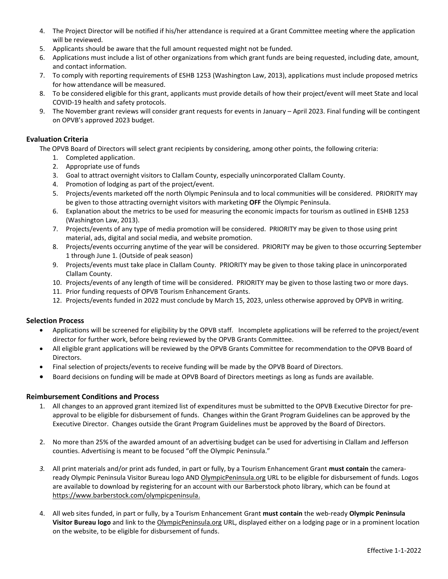- 4. The Project Director will be notified if his/her attendance is required at a Grant Committee meeting where the application will be reviewed.
- 5. Applicants should be aware that the full amount requested might not be funded.
- 6. Applications must include a list of other organizations from which grant funds are being requested, including date, amount, and contact information.
- 7. To comply with reporting requirements of ESHB 1253 (Washington Law, 2013), applications must include proposed metrics for how attendance will be measured.
- 8. To be considered eligible for this grant, applicants must provide details of how their project/event will meet State and local COVID-19 health and safety protocols.
- 9. The November grant reviews will consider grant requests for events in January April 2023. Final funding will be contingent on OPVB's approved 2023 budget.

# **Evaluation Criteria**

The OPVB Board of Directors will select grant recipients by considering, among other points, the following criteria:

- 1. Completed application.
- 2. Appropriate use of funds
- 3. Goal to attract overnight visitors to Clallam County, especially unincorporated Clallam County.
- 4. Promotion of lodging as part of the project/event.
- 5. Projects/events marketed off the north Olympic Peninsula and to local communities will be considered. PRIORITY may be given to those attracting overnight visitors with marketing **OFF** the Olympic Peninsula.
- 6. Explanation about the metrics to be used for measuring the economic impacts for tourism as outlined in ESHB 1253 (Washington Law, 2013).
- 7. Projects/events of any type of media promotion will be considered. PRIORITY may be given to those using print material, ads, digital and social media, and website promotion.
- 8. Projects/events occurring anytime of the year will be considered. PRIORITY may be given to those occurring September 1 through June 1. (Outside of peak season)
- 9. Projects/events must take place in Clallam County. PRIORITY may be given to those taking place in unincorporated Clallam County.
- 10. Projects/events of any length of time will be considered. PRIORITY may be given to those lasting two or more days.
- 11. Prior funding requests of OPVB Tourism Enhancement Grants.
- 12. Projects/events funded in 2022 must conclude by March 15, 2023, unless otherwise approved by OPVB in writing.

## **Selection Process**

- Applications will be screened for eligibility by the OPVB staff. Incomplete applications will be referred to the project/event director for further work, before being reviewed by the OPVB Grants Committee.
- All eligible grant applications will be reviewed by the OPVB Grants Committee for recommendation to the OPVB Board of Directors.
- Final selection of projects/events to receive funding will be made by the OPVB Board of Directors.
- Board decisions on funding will be made at OPVB Board of Directors meetings as long as funds are available.

## **Reimbursement Conditions and Process**

- 1. All changes to an approved grant itemized list of expenditures must be submitted to the OPVB Executive Director for preapproval to be eligible for disbursement of funds. Changes within the Grant Program Guidelines can be approved by the Executive Director. Changes outside the Grant Program Guidelines must be approved by the Board of Directors.
- 2. No more than 25% of the awarded amount of an advertising budget can be used for advertising in Clallam and Jefferson counties. Advertising is meant to be focused "off the Olympic Peninsula."
- *3.* All print materials and/or print ads funded, in part or fully, by a Tourism Enhancement Grant **must contain** the cameraready Olympic Peninsula Visitor Bureau logo AND OlympicPeninsula.org URL to be eligible for disbursement of funds. Logos are available to download by registering for an account with our Barberstock photo library, which can be found at https://www.barberstock.com/olympicpeninsula.
- 4. All web sites funded, in part or fully, by a Tourism Enhancement Grant **must contain** the web-ready **Olympic Peninsula Visitor Bureau logo** and link to the OlympicPeninsula.org URL, displayed either on a lodging page or in a prominent location on the website, to be eligible for disbursement of funds.